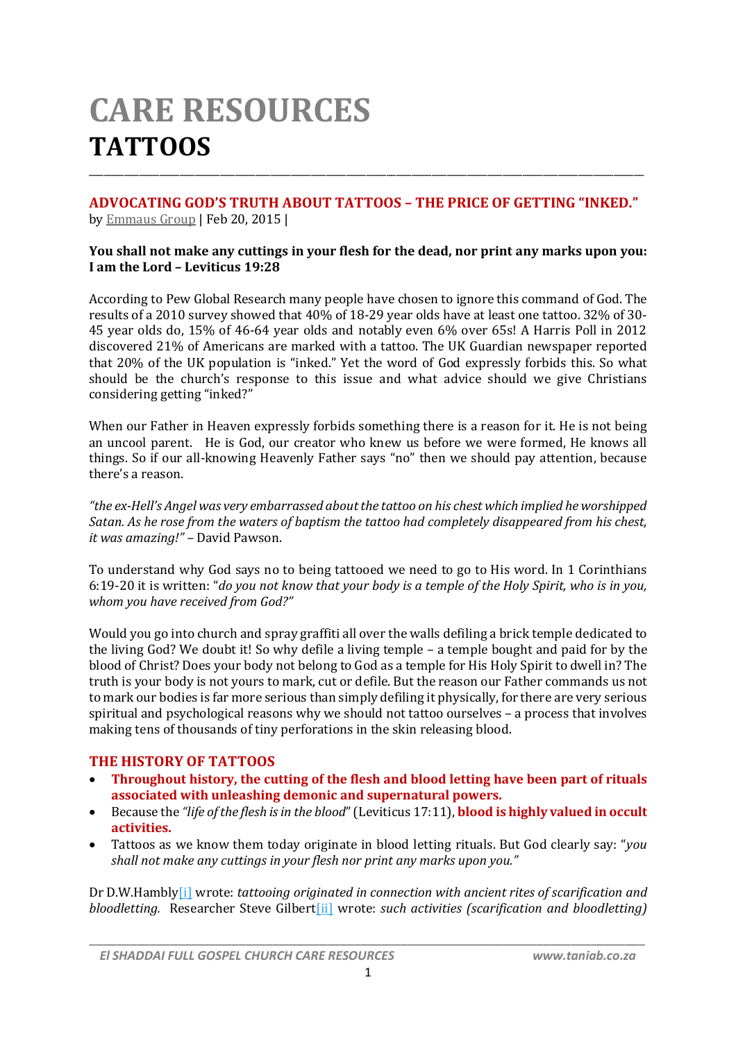# **CARE RESOURCES TATTOOS**

#### **ADVOCATING GOD'S TRUTH ABOUT TATTOOS – THE PRICE OF GETTING "INKED."** by Emmaus Group | Feb 20, 2015 |

\_\_\_\_\_\_\_\_\_\_\_\_\_\_\_\_\_\_\_\_\_\_\_\_\_\_\_\_\_\_\_\_\_\_\_\_\_\_\_\_\_\_\_\_\_\_\_\_\_\_\_\_\_\_\_\_\_\_\_\_\_\_\_\_\_\_\_\_\_\_\_\_\_\_\_\_\_\_\_\_\_\_\_\_\_\_\_\_\_\_\_\_\_\_\_\_\_\_\_\_\_\_\_\_\_\_\_\_\_\_

#### **You shall not make any cuttings in your flesh for the dead, nor print any marks upon you: I am the Lord – Leviticus 19:28**

According to Pew Global Research many people have chosen to ignore this command of God. The results of a 2010 survey showed that 40% of 18-29 year olds have at least one tattoo. 32% of 30- 45 year olds do, 15% of 46-64 year olds and notably even 6% over 65s! A Harris Poll in 2012 discovered 21% of Americans are marked with a tattoo. The UK Guardian newspaper reported that 20% of the UK population is "inked." Yet the word of God expressly forbids this. So what should be the church's response to this issue and what advice should we give Christians considering getting "inked?"

When our Father in Heaven expressly forbids something there is a reason for it. He is not being an uncool parent. He is God, our creator who knew us before we were formed, He knows all things. So if our all-knowing Heavenly Father says "no" then we should pay attention, because there's a reason.

*"the ex-Hell's Angel was very embarrassed aboutthe tattoo on his chest which implied he worshipped Satan. As he rose from the waters of baptism the tattoo had completely disappeared from his chest, it was amazing!" –* David Pawson.

To understand why God says no to being tattooed we need to go to His word. In 1 Corinthians 6:19-20 it is written: "do you not know that your body is a temple of the Holy Spirit, who is in you, *whom you have received from God?"*

Would you go into church and spray graffiti all over the walls defiling a brick temple dedicated to the living God? We doubt it! So why defile a living temple – a temple bought and paid for by the blood of Christ? Does your body not belong to God as a temple for His Holy Spirit to dwell in? The truth is your body is not yours to mark, cut or defile. But the reason our Father commands us not to mark our bodies is far more serious than simply defiling it physically, for there are very serious spiritual and psychological reasons why we should not tattoo ourselves – a process that involves making tens of thousands of tiny perforations in the skin releasing blood.

## **THE HISTORY OF TATTOOS**

- **Throughout history, the cutting of the flesh and blood letting have been part of rituals associated with unleashing demonic and supernatural powers.**
- Because the *"life ofthe flesh isin the blood*" (Leviticus 17:11), **blood is highly valued in occult activities.**
- Tattoos as we know them today originate in blood letting rituals. But God clearly say: "*you shall not make any cuttings in your flesh nor print any marks upon you."*

Dr D.W.Hambly[i] wrote: *tattooing originated in connection with ancient rites of scarification and bloodletting.* Researcher Steve Gilbert[ii] wrote: *such activities (scarification and bloodletting)*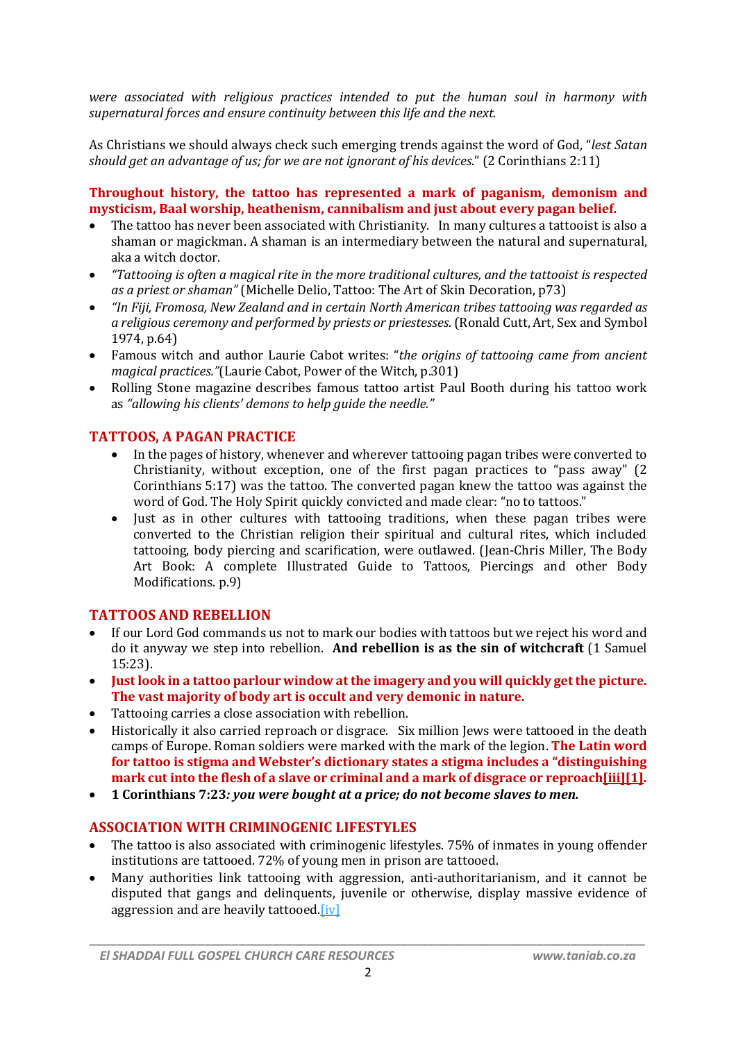*were associated with religious practices intended to put the human soul in harmony with supernatural forces and ensure continuity between this life and the next.*

As Christians we should always check such emerging trends against the word of God, "*lest Satan should get an advantage of us; for we are not ignorant of his devices*." (2 Corinthians 2:11)

#### **Throughout history, the tattoo has represented a mark of paganism, demonism and mysticism, Baal worship, heathenism, cannibalism and just about every pagan belief.**

- The tattoo has never been associated with Christianity. In many cultures a tattooist is also a shaman or magickman. A shaman is an intermediary between the natural and supernatural, aka a witch doctor.
- *"Tattooing is often a magical rite in the more traditional cultures, and the tattooist is respected as a priest or shaman"* (Michelle Delio, Tattoo: The Art of Skin Decoration, p73)
- *"In Fiji, Fromosa, New Zealand and in certain North American tribes tattooing was regarded as a religious ceremony and performed by priests or priestesses.*(Ronald Cutt, Art, Sex and Symbol 1974, p.64)
- Famous witch and author Laurie Cabot writes: "*the origins of tattooing came from ancient magical practices."*(Laurie Cabot, Power of the Witch, p.301)
- Rolling Stone magazine describes famous tattoo artist Paul Booth during his tattoo work as *"allowing his clients' demons to help guide the needle."*

# **TATTOOS, A PAGAN PRACTICE**

- In the pages of history, whenever and wherever tattooing pagan tribes were converted to Christianity, without exception, one of the first pagan practices to "pass away" (2 Corinthians 5:17) was the tattoo. The converted pagan knew the tattoo was against the word of God. The Holy Spirit quickly convicted and made clear: "no to tattoos."
- Iust as in other cultures with tattooing traditions, when these pagan tribes were converted to the Christian religion their spiritual and cultural rites, which included tattooing, body piercing and scarification, were outlawed. (Jean-Chris Miller, The Body Art Book: A complete Illustrated Guide to Tattoos, Piercings and other Body Modifications. p.9)

## **TATTOOS AND REBELLION**

- If our Lord God commands us not to mark our bodies with tattoos but we reject his word and do it anyway we step into rebellion. **And rebellion is as the sin of witchcraft** (1 Samuel 15:23).
- **Just look in a tattoo parlour window at the imagery and you will quickly get the picture. The vast majority of body art is occult and very demonic in nature.**
- Tattooing carries a close association with rebellion.
- Historically it also carried reproach or disgrace. Six million Jews were tattooed in the death camps of Europe. Roman soldiers were marked with the mark of the legion. **The Latin word for tattoo is stigma and Webster's dictionary states a stigma includes a "distinguishing mark cut into the flesh of a slave or criminal and a mark of disgrace or reproach[iii][1].**
- **1 Corinthians 7:23***: you were bought at a price; do not become slaves to men.*

## **ASSOCIATION WITH CRIMINOGENIC LIFESTYLES**

- The tattoo is also associated with criminogenic lifestyles. 75% of inmates in young offender institutions are tattooed. 72% of young men in prison are tattooed.
- Many authorities link tattooing with aggression, anti-authoritarianism, and it cannot be disputed that gangs and delinquents, juvenile or otherwise, display massive evidence of aggression and are heavily tattooed.[iv]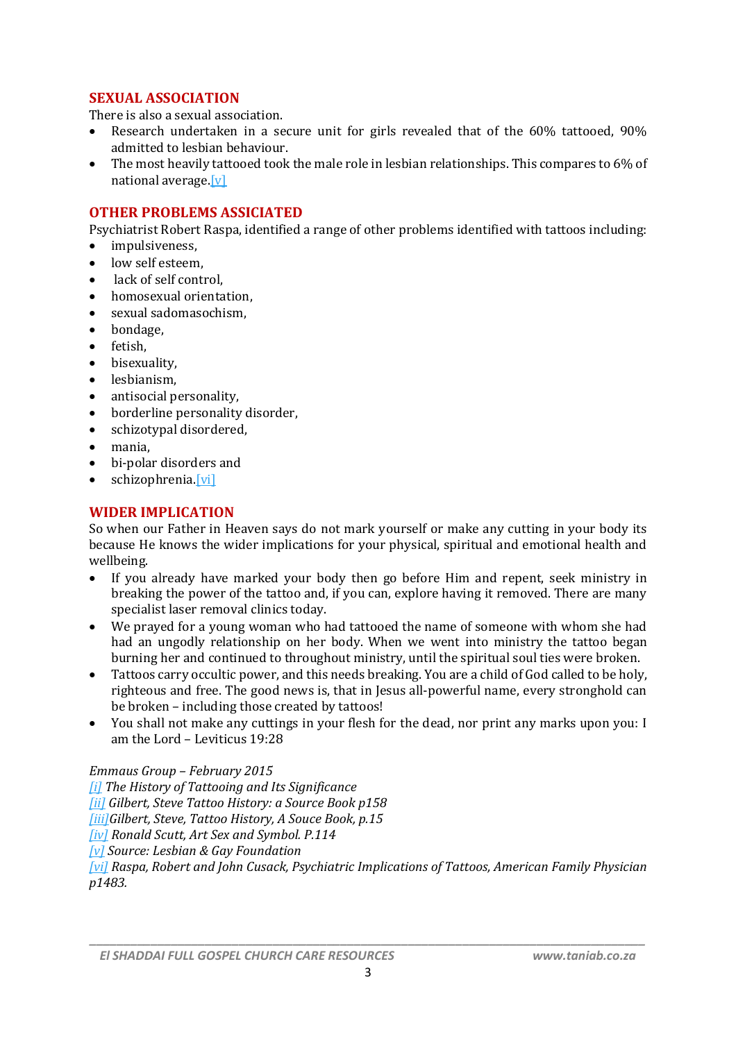# **SEXUAL ASSOCIATION**

There is also a sexual association.

- Research undertaken in a secure unit for girls revealed that of the 60% tattooed, 90% admitted to lesbian behaviour.
- The most heavily tattooed took the male role in lesbian relationships. This compares to 6% of national average.[v]

#### **OTHER PROBLEMS ASSICIATED**

Psychiatrist Robert Raspa, identified a range of other problems identified with tattoos including:

- impulsiveness.
- low self esteem,
- lack of self control,
- homosexual orientation,
- sexual sadomasochism,
- bondage,
- fetish.
- bisexuality.
- lesbianism,
- antisocial personality,
- borderline personality disorder,
- schizotypal disordered,
- mania,
- bi-polar disorders and
- schizophrenia.[vi]

#### **WIDER IMPLICATION**

So when our Father in Heaven says do not mark yourself or make any cutting in your body its because He knows the wider implications for your physical, spiritual and emotional health and wellbeing.

- If you already have marked your body then go before Him and repent, seek ministry in breaking the power of the tattoo and, if you can, explore having it removed. There are many specialist laser removal clinics today.
- We prayed for a young woman who had tattooed the name of someone with whom she had had an ungodly relationship on her body. When we went into ministry the tattoo began burning her and continued to throughout ministry, until the spiritual soul ties were broken.
- Tattoos carry occultic power, and this needs breaking. You are a child of God called to be holy, righteous and free. The good news is, that in Jesus all-powerful name, every stronghold can be broken – including those created by tattoos!
- You shall not make any cuttings in your flesh for the dead, nor print any marks upon you: I am the Lord – Leviticus 19:28

#### *Emmaus Group – February 2015*

*[i] The History of Tattooing and Its Significance [ii] Gilbert, Steve Tattoo History: a Source Book p158 [iii]Gilbert, Steve, Tattoo History, A Souce Book, p.15 [iv] Ronald Scutt, Art Sex and Symbol. P.114 [v] Source: Lesbian & Gay Foundation [vi] Raspa, Robert and John Cusack, Psychiatric Implications of Tattoos, American Family Physician p1483.*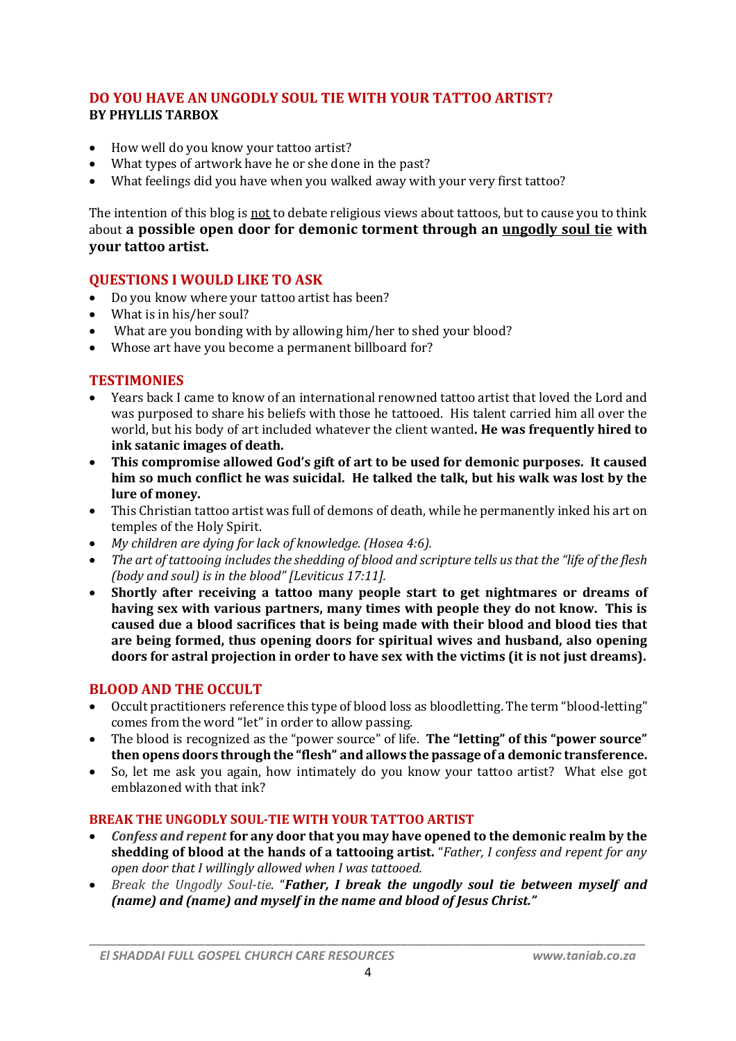# **DO YOU HAVE AN UNGODLY SOUL TIE WITH YOUR TATTOO ARTIST? BY PHYLLIS TARBOX**

- How well do you know your tattoo artist?
- What types of artwork have he or she done in the past?
- What feelings did you have when you walked away with your very first tattoo?

The intention of this blog is not to debate religious views about tattoos, but to cause you to think about **a possible open door for demonic torment through an ungodly soul tie with your tattoo artist.**

## **QUESTIONS I WOULD LIKE TO ASK**

- Do you know where your tattoo artist has been?
- What is in his/her soul?
- What are you bonding with by allowing him/her to shed your blood?
- Whose art have you become a permanent billboard for?

## **TESTIMONIES**

- Years back I came to know of an international renowned tattoo artist that loved the Lord and was purposed to share his beliefs with those he tattooed. His talent carried him all over the world, but his body of art included whatever the client wanted**. He was frequently hired to ink satanic images of death.**
- **This compromise allowed God's gift of art to be used for demonic purposes. It caused him so much conflict he was suicidal. He talked the talk, but his walk was lost by the lure of money.**
- This Christian tattoo artist was full of demons of death, while he permanently inked his art on temples of the Holy Spirit.
- *My children are dying for lack of knowledge. (Hosea 4:6).*
- *The art of tattooing includes the shedding of blood and scripture tells us that the "life of the flesh (body and soul) is in the blood" [Leviticus 17:11].*
- **Shortly after receiving a tattoo many people start to get nightmares or dreams of having sex with various partners, many times with people they do not know. This is caused due a blood sacrifices that is being made with their blood and blood ties that are being formed, thus opening doors for spiritual wives and husband, also opening doors for astral projection in order to have sex with the victims (it is not just dreams).**

## **BLOOD AND THE OCCULT**

- Occult practitioners reference this type of blood loss as bloodletting. The term "blood-letting" comes from the word "let" in order to allow passing.
- The blood is recognized as the "power source" of life. **The "letting" of this "power source" then opens doors through the "flesh" and allows the passage of a demonic transference.**
- So, let me ask you again, how intimately do you know your tattoo artist? What else got emblazoned with that ink?

#### **BREAK THE UNGODLY SOUL-TIE WITH YOUR TATTOO ARTIST**

- *Confess and repent* **for any door that you may have opened to the demonic realm by the shedding of blood at the hands of a tattooing artist.** "*Father, I confess and repent for any open door that I willingly allowed when I was tattooed.*
- *Break the Ungodly Soul-tie*. "*Father, I break the ungodly soul tie between myself and (name) and (name) and myself in the name and blood of Jesus Christ."*